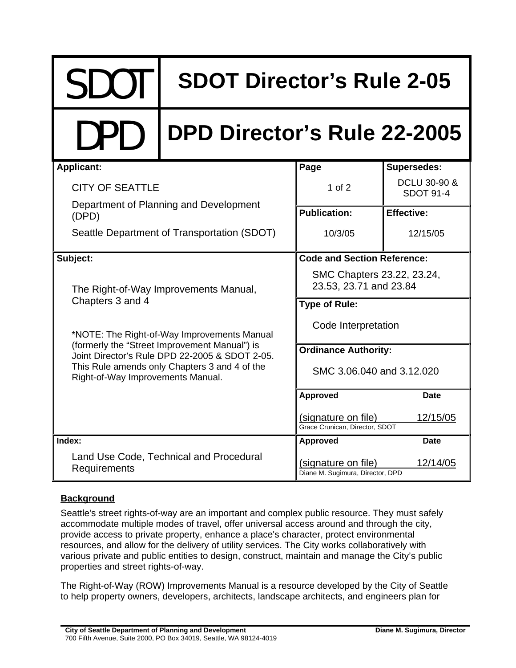# SDOT **SDOT Director's Rule 2-05**

## DPD **DPD Director's Rule 22-2005**

| <b>Applicant:</b>                                                                                                                                                                                                                    | Page                                                    | <b>Supersedes:</b>               |
|--------------------------------------------------------------------------------------------------------------------------------------------------------------------------------------------------------------------------------------|---------------------------------------------------------|----------------------------------|
| <b>CITY OF SEATTLE</b>                                                                                                                                                                                                               | $1$ of $2$                                              | DCLU 30-90 &<br><b>SDOT 91-4</b> |
| Department of Planning and Development<br>(DPD)                                                                                                                                                                                      | <b>Publication:</b>                                     | <b>Effective:</b>                |
| Seattle Department of Transportation (SDOT)                                                                                                                                                                                          | 10/3/05                                                 | 12/15/05                         |
| Subject:                                                                                                                                                                                                                             | <b>Code and Section Reference:</b>                      |                                  |
| The Right-of-Way Improvements Manual,<br>Chapters 3 and 4                                                                                                                                                                            | SMC Chapters 23.22, 23.24,<br>23.53, 23.71 and 23.84    |                                  |
|                                                                                                                                                                                                                                      | <b>Type of Rule:</b>                                    |                                  |
| *NOTE: The Right-of-Way Improvements Manual<br>(formerly the "Street Improvement Manual") is<br>Joint Director's Rule DPD 22-2005 & SDOT 2-05.<br>This Rule amends only Chapters 3 and 4 of the<br>Right-of-Way Improvements Manual. | Code Interpretation                                     |                                  |
|                                                                                                                                                                                                                                      | <b>Ordinance Authority:</b>                             |                                  |
|                                                                                                                                                                                                                                      | SMC 3.06.040 and 3.12.020                               |                                  |
|                                                                                                                                                                                                                                      | <b>Approved</b>                                         | Date                             |
|                                                                                                                                                                                                                                      | (signature on file)<br>Grace Crunican, Director, SDOT   | 12/15/05                         |
| Index:                                                                                                                                                                                                                               | <b>Approved</b>                                         | <b>Date</b>                      |
| Land Use Code, Technical and Procedural<br>Requirements                                                                                                                                                                              | (signature on file)<br>Diane M. Sugimura, Director, DPD | 12/14/05                         |

### **Background**

Seattle's street rights-of-way are an important and complex public resource. They must safely accommodate multiple modes of travel, offer universal access around and through the city, provide access to private property, enhance a place's character, protect environmental resources, and allow for the delivery of utility services. The City works collaboratively with various private and public entities to design, construct, maintain and manage the City's public properties and street rights-of-way.

The Right-of-Way (ROW) Improvements Manual is a resource developed by the City of Seattle to help property owners, developers, architects, landscape architects, and engineers plan for